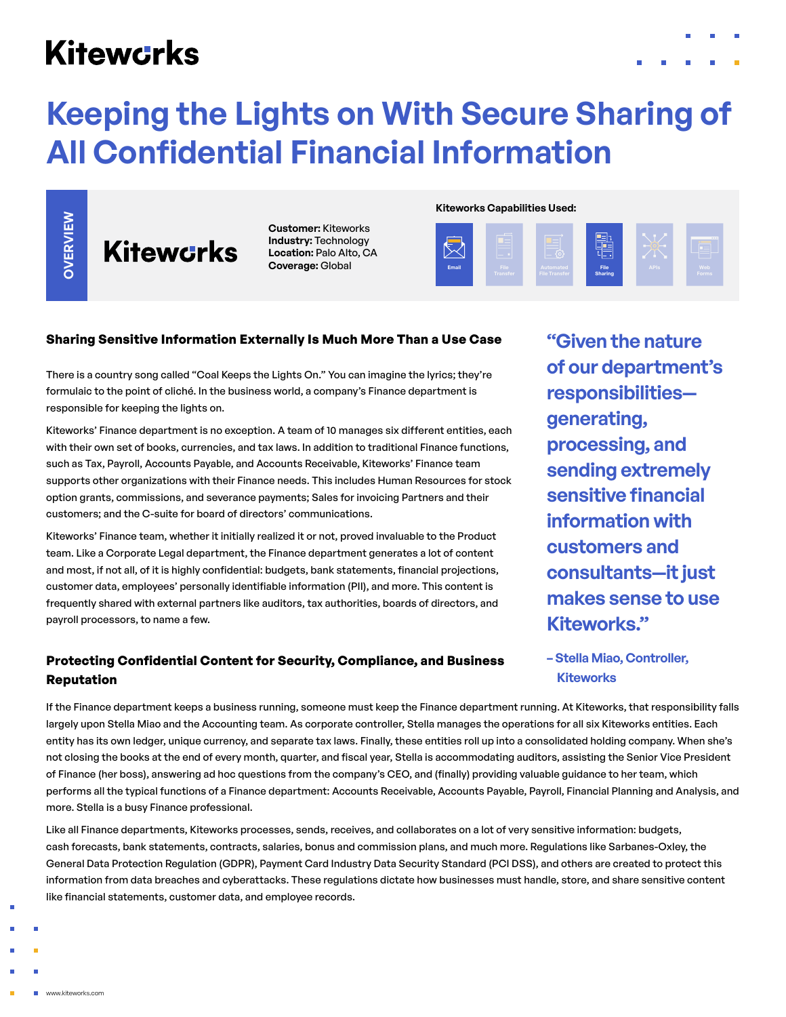## **Kitewcrks**

# **Keeping the Lights on With Secure Sharing of All Confidential Financial Information**

OVERVIEW

**Kitewcrks** 

**Customer:** Kiteworks **Industry:** Technology **Location:** Palo Alto, CA **Coverage:** Global

**Kiteworks Capabilities Used:**



#### **Sharing Sensitive Information Externally Is Much More Than a Use Case**

There is a country song called "Coal Keeps the Lights On." You can imagine the lyrics; they're formulaic to the point of cliché. In the business world, a company's Finance department is responsible for keeping the lights on.

Kiteworks' Finance department is no exception. A team of 10 manages six different entities, each with their own set of books, currencies, and tax laws. In addition to traditional Finance functions, such as Tax, Payroll, Accounts Payable, and Accounts Receivable, Kiteworks' Finance team supports other organizations with their Finance needs. This includes Human Resources for stock option grants, commissions, and severance payments; Sales for invoicing Partners and their customers; and the C-suite for board of directors' communications. **Republic Scharing Servent Scharing Servent Scharing Servent Scharing Servent Scharing Servent Scharing Servent Scharing Servent Scharing Scharing Scharing Scharing Scharing Scharing Scharing Scharing Scharing Scharing Sch** 

Kiteworks' Finance team, whether it initially realized it or not, proved invaluable to the Product team. Like a Corporate Legal department, the Finance department generates a lot of content and most, if not all, of it is highly confidential: budgets, bank statements, financial projections, customer data, employees' personally identifiable information (PII), and more. This content is frequently shared with external partners like auditors, tax authorities, boards of directors, and payroll processors, to name a few.

### **Protecting Confidential Content for Security, Compliance, and Business Reputation**

**"Given the nature of our department's responsibilities generating, processing, and sending extremely sensitive financial information with customers and consultants—it just makes sense to use Kiteworks."**

**– Stella Miao, Controller, Kiteworks**

If the Finance department keeps a business running, someone must keep the Finance department running. At Kiteworks, that responsibility falls largely upon Stella Miao and the Accounting team. As corporate controller, Stella manages the operations for all six Kiteworks entities. Each entity has its own ledger, unique currency, and separate tax laws. Finally, these entities roll up into a consolidated holding company. When she's not closing the books at the end of every month, quarter, and fiscal year, Stella is accommodating auditors, assisting the Senior Vice President of Finance (her boss), answering ad hoc questions from the company's CEO, and (finally) providing valuable guidance to her team, which performs all the typical functions of a Finance department: Accounts Receivable, Accounts Payable, Payroll, Financial Planning and Analysis, and more. Stella is a busy Finance professional.

Like all Finance departments, Kiteworks processes, sends, receives, and collaborates on a lot of very sensitive information: budgets, cash forecasts, bank statements, contracts, salaries, bonus and commission plans, and much more. Regulations like Sarbanes-Oxley, the General Data Protection Regulation (GDPR), Payment Card Industry Data Security Standard (PCI DSS), and others are created to protect this information from data breaches and cyberattacks. These regulations dictate how businesses must handle, store, and share sensitive content like financial statements, customer data, and employee records.

www.kiteworks.com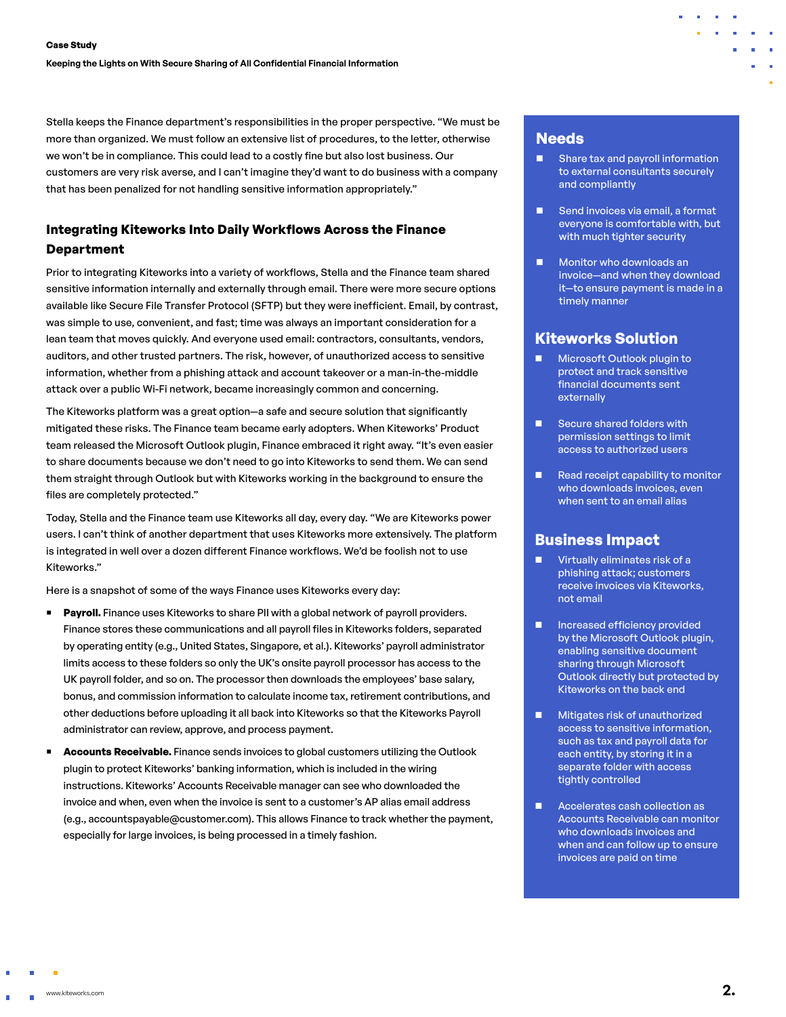Stella keeps the Finance department's responsibilities in the proper perspective. "We must be more than organized. We must follow an extensive list of procedures, to the letter, otherwise we won't be in compliance. This could lead to a costly fine but also lost business. Our customers are very risk averse, and I can't imagine they'd want to do business with a company that has been penalized for not handling sensitive information appropriately."

### **Integrating Kiteworks Into Daily Workflows Across the Finance Department**

Prior to integrating Kiteworks into a variety of workflows, Stella and the Finance team shared sensitive information internally and externally through email. There were more secure options available like Secure File Transfer Protocol (SFTP) but they were inefficient. Email, by contrast, was simple to use, convenient, and fast; time was always an important consideration for a lean team that moves quickly. And everyone used email: contractors, consultants, vendors, auditors, and other trusted partners. The risk, however, of unauthorized access to sensitive information, whether from a phishing attack and account takeover or a man-in-the-middle attack over a public Wi-Fi network, became increasingly common and concerning.

The Kiteworks platform was a great option—a safe and secure solution that significantly mitigated these risks. The Finance team became early adopters. When Kiteworks' Product team released the Microsoft Outlook plugin, Finance embraced it right away. "It's even easier to share documents because we don't need to go into Kiteworks to send them. We can send them straight through Outlook but with Kiteworks working in the background to ensure the files are completely protected."

Today, Stella and the Finance team use Kiteworks all day, every day. "We are Kiteworks power users. I can't think of another department that uses Kiteworks more extensively. The platform is integrated in well over a dozen different Finance workflows. We'd be foolish not to use Kiteworks."

Here is a snapshot of some of the ways Finance uses Kiteworks every day:

- **Payroll.** Finance uses Kiteworks to share PII with a global network of payroll providers. Finance stores these communications and all payroll files in Kiteworks folders, separated by operating entity (e.g., United States, Singapore, et al.). Kiteworks' payroll administrator limits access to these folders so only the UK's onsite payroll processor has access to the UK payroll folder, and so on. The processor then downloads the employees' base salary, bonus, and commission information to calculate income tax, retirement contributions, and other deductions before uploading it all back into Kiteworks so that the Kiteworks Payroll administrator can review, approve, and process payment.
- **Accounts Receivable.** Finance sends invoices to global customers utilizing the Outlook plugin to protect Kiteworks' banking information, which is included in the wiring instructions. Kiteworks' Accounts Receivable manager can see who downloaded the invoice and when, even when the invoice is sent to a customer's AP alias email address (e.g., accountspayable@customer.com). This allows Finance to track whether the payment, especially for large invoices, is being processed in a timely fashion.

### **Needs**

- Share tax and payroll information to external consultants securely and compliantly
- $\blacksquare$  Send invoices via email, a format everyone is comfortable with, but with much tighter security
- $\blacksquare$  Monitor who downloads an invoice—and when they download it—to ensure payment is made in a timely manner

#### **Kiteworks Solution**

- Microsoft Outlook plugin to protect and track sensitive financial documents sent externally
- $\blacksquare$  Secure shared folders with permission settings to limit access to authorized users
- $\blacksquare$  Read receipt capability to monitor who downloads invoices, even when sent to an email alias

## **Business Impact**

- **n** Virtually eliminates risk of a phishing attack; customers receive invoices via Kiteworks, not email
- **n** Increased efficiency provided by the Microsoft Outlook plugin, enabling sensitive document sharing through Microsoft Outlook directly but protected by Kiteworks on the back end
- Mitigates risk of unauthorized access to sensitive information, such as tax and payroll data for each entity, by storing it in a separate folder with access tightly controlled
- Accelerates cash collection as Accounts Receivable can monitor who downloads invoices and when and can follow up to ensure invoices are paid on time